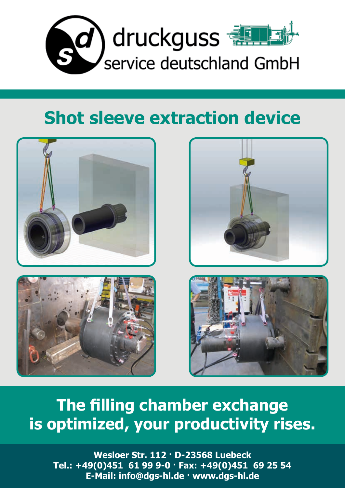

## **Shot sleeve extraction device**







## **The filling chamber exchange is optimized, your productivity rises.**

**Wesloer Str. 112 · D-23568 Luebeck Tel.: +49(0)451 61 99 9-0 · Fax: +49(0)451 69 25 54 E-Mail: info@dgs-hl.de · www.dgs-hl.de**